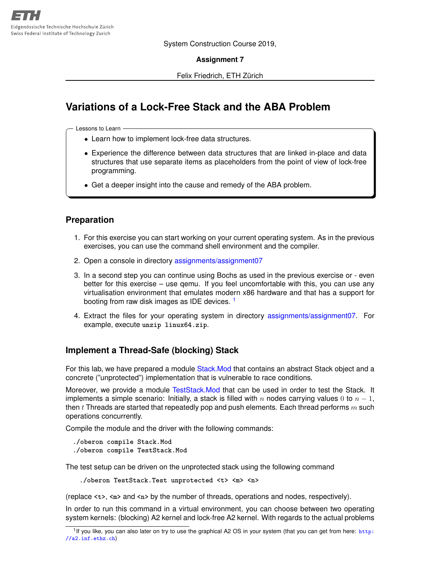System Construction Course 2019,

**Assignment 7**

Felix Friedrich, ETH Zürich

# **Variations of a Lock-Free Stack and the ABA Problem**

Lessons to Learn -

- Learn how to implement lock-free data structures.
- Experience the difference between data structures that are linked in-place and data structures that use separate items as placeholders from the point of view of lock-free programming.
- Get a deeper insight into the cause and remedy of the ABA problem.

#### **Preparation**

- 1. For this exercise you can start working on your current operating system. As in the previous exercises, you can use the command shell environment and the compiler.
- 2. Open a console in directory [assignments/assignment07](https://svn.inf.ethz.ch/svn/lecturers/vorlesungen/trunk/syscon/2019/shared/assignments/assignment7)
- 3. In a second step you can continue using Bochs as used in the previous exercise or even better for this exercise – use qemu. If you feel uncomfortable with this, you can use any virtualisation environment that emulates modern x86 hardware and that has a support for booting from raw disk images as IDE devices.<sup>[1](#page-0-0)</sup>
- 4. Extract the files for your operating system in directory [assignments/assignment07.](https://svn.inf.ethz.ch/svn/lecturers/vorlesungen/trunk/syscon/2019/shared/assignments/assignment07) For example, execute **unzip linux64.zip**.

## **Implement a Thread-Safe (blocking) Stack**

For this lab, we have prepared a module Stack. Mod that contains an abstract Stack object and a concrete ("unprotected") implementation that is vulnerable to race conditions.

Moreover, we provide a module [TestStack.Mod](https://svn.inf.ethz.ch/svn/lecturers/vorlesungen/trunk/syscon/2019/shared/assignments/assignment07/TestStack.Mod) that can be used in order to test the Stack. It implements a simple scenario: Initially, a stack is filled with n nodes carrying values 0 to  $n-1$ , then t Threads are started that repeatedly pop and push elements. Each thread performs  $m$  such operations concurrently.

Compile the module and the driver with the following commands:

```
./oberon compile Stack.Mod
./oberon compile TestStack.Mod
```
The test setup can be driven on the unprotected stack using the following command

**./oberon TestStack.Test unprotected <t> <m> <n>**

(replace **<t>**, **<m>** and **<n>** by the number of threads, operations and nodes, respectively).

In order to run this command in a virtual environment, you can choose between two operating system kernels: (blocking) A2 kernel and lock-free A2 kernel. With regards to the actual problems

<span id="page-0-0"></span><sup>&</sup>lt;sup>1</sup>If you like, you can also later on try to use the graphical A2 OS in your system (that you can get from here: [http:](http://a2.inf.ethz.ch) [//a2.inf.ethz.ch](http://a2.inf.ethz.ch))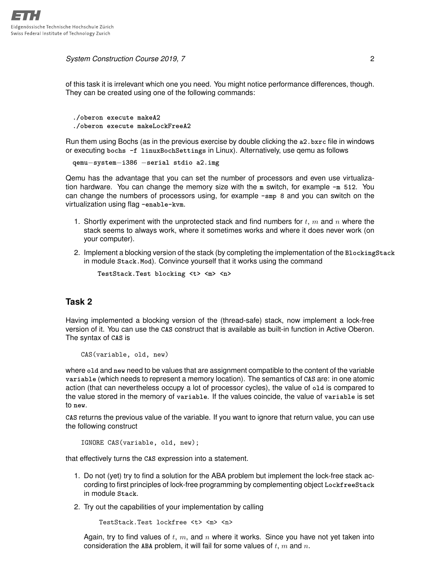*System Construction Course 2019, 7* 2

of this task it is irrelevant which one you need. You might notice performance differences, though. They can be created using one of the following commands:

```
./oberon execute makeA2
./oberon execute makeLockFreeA2
```
Run them using Bochs (as in the previous exercise by double clicking the **a2.bxrc** file in windows or executing **bochs -f linuxBochSettings** in Linux). Alternatively, use qemu as follows

**qemu**−**system**−**i386** −**serial stdio a2.img**

Qemu has the advantage that you can set the number of processors and even use virtualization hardware. You can change the memory size with the **m** switch, for example **-m 512**. You can change the numbers of processors using, for example **-smp 8** and you can switch on the virtualization using flag **-enable-kvm**.

- 1. Shortly experiment with the unprotected stack and find numbers for  $t, m$  and  $n$  where the stack seems to always work, where it sometimes works and where it does never work (on your computer).
- 2. Implement a blocking version of the stack (by completing the implementation of the **BlockingStack** in module **Stack.Mod**). Convince yourself that it works using the command

**TestStack.Test blocking <t> <m> <n>**

## **Task 2**

Having implemented a blocking version of the (thread-safe) stack, now implement a lock-free version of it. You can use the **CAS** construct that is available as built-in function in Active Oberon. The syntax of **CAS** is

CAS(variable, old, new)

where **old** and **new** need to be values that are assignment compatible to the content of the variable **variable** (which needs to represent a memory location). The semantics of **CAS** are: in one atomic action (that can nevertheless occupy a lot of processor cycles), the value of **old** is compared to the value stored in the memory of **variable**. If the values coincide, the value of **variable** is set to **new**.

**CAS** returns the previous value of the variable. If you want to ignore that return value, you can use the following construct

IGNORE CAS(variable, old, new);

that effectively turns the **CAS** expression into a statement.

- 1. Do not (yet) try to find a solution for the ABA problem but implement the lock-free stack according to first principles of lock-free programming by complementing object **LockfreeStack** in module **Stack**.
- 2. Try out the capabilities of your implementation by calling

TestStack.Test lockfree <t> <m> <n>

Again, try to find values of  $t$ ,  $m$ , and  $n$  where it works. Since you have not yet taken into consideration the **ABA** problem, it will fail for some values of t, m and n.